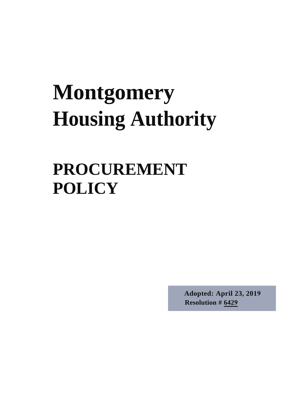# **Montgomery Housing Authority**

# **PROCUREMENT POLICY**

**Adopted: April 23, 2019 Resolution # 6429**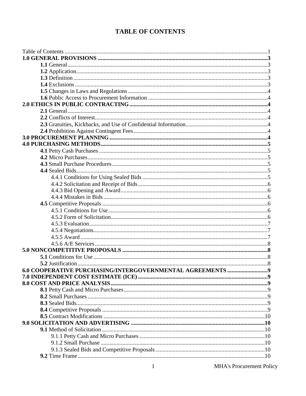### **TABLE OF CONTENTS**

| 6.0 COOPERATIVE PURCHASING/INTERGOVERNMENTAL AGREEMENTS 9 |  |
|-----------------------------------------------------------|--|
|                                                           |  |
|                                                           |  |
|                                                           |  |
|                                                           |  |
|                                                           |  |
|                                                           |  |
|                                                           |  |
|                                                           |  |
|                                                           |  |
|                                                           |  |
|                                                           |  |
|                                                           |  |
|                                                           |  |
|                                                           |  |
|                                                           |  |
|                                                           |  |
|                                                           |  |
|                                                           |  |
|                                                           |  |
|                                                           |  |
|                                                           |  |
|                                                           |  |
|                                                           |  |
|                                                           |  |
|                                                           |  |
|                                                           |  |

MHA's Procurement Policy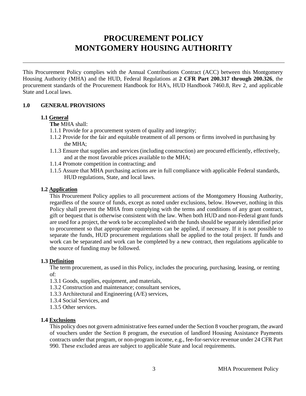# **PROCUREMENT POLICY MONTGOMERY HOUSING AUTHORITY**

This Procurement Policy complies with the Annual Contributions Contract (ACC) between this Montgomery Housing Authority (MHA) and the HUD, Federal Regulations at **2 CFR Part 200.317 through 200.326**, the procurement standards of the Procurement Handbook for HA's, HUD Handbook 7460.8, Rev 2, and applicable State and Local laws.

#### **1.0 GENERAL PROVISIONS**

#### **1.1 General**

**The** MHA shall:

- 1.1.1 Provide for a procurement system of quality and integrity;
- 1.1.2 Provide for the fair and equitable treatment of all persons or firms involved in purchasing by the MHA;
- 1.1.3 Ensure that supplies and services (including construction) are procured efficiently, effectively, and at the most favorable prices available to the MHA;
- 1.1.4 Promote competition in contracting; and
- 1.1.5 Assure that MHA purchasing actions are in full compliance with applicable Federal standards, HUD regulations, State, and local laws.

#### **1.2 Application**

This Procurement Policy applies to all procurement actions of the Montgomery Housing Authority, regardless of the source of funds, except as noted under exclusions, below. However, nothing in this Policy shall prevent the MHA from complying with the terms and conditions of any grant contract, gift or bequest that is otherwise consistent with the law. When both HUD and non-Federal grant funds are used for a project, the work to be accomplished with the funds should be separately identified prior to procurement so that appropriate requirements can be applied, if necessary. If it is not possible to separate the funds, HUD procurement regulations shall be applied to the total project. If funds and work can be separated and work can be completed by a new contract, then regulations applicable to the source of funding may be followed.

#### **1.3 Definition**

The term procurement, as used in this Policy, includes the procuring, purchasing, leasing, or renting of:

- 1.3.1 Goods, supplies, equipment, and materials,
- 1.3.2 Construction and maintenance; consultant services,
- 1.3.3 Architectural and Engineering (A/E) services,
- 1.3.4 Social Services, and
- 1.3.5 Other services.

#### **1.4 Exclusions**

This policy does not govern administrative fees earned under the Section 8 voucher program, the award of vouchers under the Section 8 program, the execution of landlord Housing Assistance Payments contracts under that program, or non-program income, e.g., fee-for-service revenue under 24 CFR Part 990. These excluded areas are subject to applicable State and local requirements.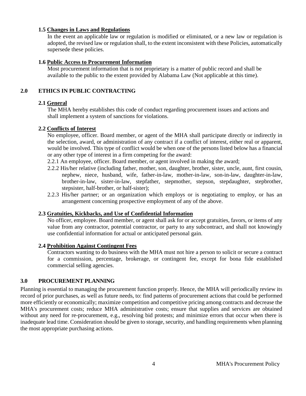#### **1.5 Changes in Laws and Regulations**

In the event an applicable law or regulation is modified or eliminated, or a new law or regulation is adopted, the revised law or regulation shall, to the extent inconsistent with these Policies, automatically supersede these policies.

#### **1.6 Public Access to Procurement Information**

Most procurement information that is not proprietary is a matter of public record and shall be available to the public to the extent provided by Alabama Law (Not applicable at this time).

#### **2.0 ETHICS IN PUBLIC CONTRACTING**

#### **2.1 General**

The MHA hereby establishes this code of conduct regarding procurement issues and actions and shall implement a system of sanctions for violations.

#### **2.2 Conflicts of Interest**

No employee, officer. Board member, or agent of the MHA shall participate directly or indirectly in the selection, award, or administration of any contract if a conflict of interest, either real or apparent, would be involved. This type of conflict would be when one of the persons listed below has a financial or any other type of interest in a firm competing for the award:

2.2.1 An employee, officer. Board member, or agent involved in making the award;

- 2.2.2 His/her relative (including father, mother, son, daughter, brother, sister, uncle, aunt, first cousin, nephew, niece, husband, wife, father-in-law, mother-in-law, son-in-law, daughter-in-law, brother-in-law, sister-in-law, stepfather, stepmother, stepson, stepdaughter, stepbrother, stepsister, half-brother, or half-sister);
- 2.2.3 His/her partner; or an organization which employs or is negotiating to employ, or has an arrangement concerning prospective employment of any of the above.

#### **2.3 Gratuities, Kickbacks, and Use of Confidential Information**

No officer, employee. Board member, or agent shall ask for or accept gratuities, favors, or items of any value from any contractor, potential contractor, or party to any subcontract, and shall not knowingly use confidential information for actual or anticipated personal gain.

#### **2.4 Prohibition Against Contingent Fees**

Contractors wanting to do business with the MHA must not hire a person to solicit or secure a contract for a commission, percentage, brokerage, or contingent fee, except for bona fide established commercial selling agencies.

#### **3.0 PROCUREMENT PLANNING**

Planning is essential to managing the procurement function properly. Hence, the MHA will periodically review its record of prior purchases, as well as future needs, to: find patterns of procurement actions that could be performed more efficiently or economically; maximize competition and competitive pricing among contracts and decrease the MHA's procurement costs; reduce MHA administrative costs; ensure that supplies and services are obtained without any need for re-procurement, e.g., resolving bid protests; and minimize errors that occur when there is inadequate lead time. Consideration should be given to storage, security, and handling requirements when planning the most appropriate purchasing actions.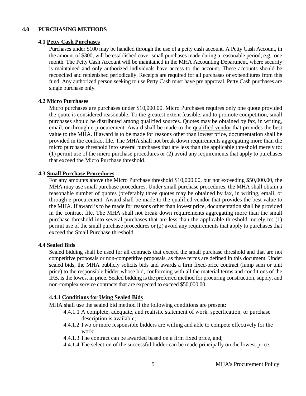#### **4.0 PURCHASING METHODS**

#### **4.1 Petty Cash Purchases**

Purchases under \$100 may be handled through the use of a petty cash account. A Petty Cash Account, in the amount of \$300, will be established cover small purchases made during a reasonable period, e.g., one month. The Petty Cash Account will be maintained in the MHA Accounting Department, where security is maintained and only authorized individuals have access to the account. These accounts should be reconciled and replenished periodically. Receipts are required for all purchases or expenditures from this fund. Any authorized person seeking to use Petty Cash must have pre approval. Petty Cash purchases are single purchase only.

#### **4.2 Micro Purchases**

Micro purchases are purchases under \$10,000.00. Micro Purchases requires only one quote provided the quote is considered reasonable. To the greatest extent feasible, and to promote competition, small purchases should be distributed among qualified sources. Quotes may be obtained by fax, in writing, email, or through e-procurement. Award shall be made to the qualified vendor that provides the best value to the MHA. If award is to be made for reasons other than lowest price, documentation shall be provided in the contract file. The MHA shall not break down requirements aggregating more than the micro purchase threshold into several purchases that are less than the applicable threshold merely to: (1) permit use of the micro purchase procedures or (2) avoid any requirements that apply to purchases that exceed the Micro Purchase threshold.

#### **4.3 Small Purchase Procedures**

For any amounts above the Micro Purchase threshold \$10,000.00, but not exceeding \$50,000.00, the MHA may use small purchase procedures. Under small purchase procedures, the MHA shall obtain a reasonable number of quotes (preferably three quotes may be obtained by fax, in writing, email, or through e-procurement. Award shall be made to the qualified vendor that provides the best value to the MHA. If award is to be made for reasons other than lowest price, documentation shall be provided in the contract file. The MHA shall not break down requirements aggregating more than the small purchase threshold into several purchases that are less than the applicable threshold merely to: (1) permit use of the small purchase procedures or (2) avoid any requirements that apply to purchases that exceed the Small Purchase threshold.

#### **4.4 Sealed Bids**

Sealed bidding shall be used for all contracts that exceed the small purchase threshold and that are not competitive proposals or non-competitive proposals, as these terms are defined in this document. Under sealed bids, the MHA publicly solicits bids and awards a firm fixed-price contract (lump sum or unit price) to the responsible bidder whose bid, conforming with all the material terms and conditions of the IFB, is the lowest in price. Sealed bidding is the preferred method for procuring construction, supply, and non-complex service contracts that are expected to exceed \$50,000.00.

#### **4.4.1 Conditions for Using Sealed Bids**

MHA shall use the sealed bid method if the following conditions are present:

- 4.4.1.1 A complete, adequate, and realistic statement of work, specification, or purchase description is available;
- 4.4.1.2 Two or more responsible bidders are willing and able to compete effectively for the work;
- 4.4.1.3 The contract can be awarded based on a firm fixed price, and;
- 4.4.1.4 The selection of the successful bidder can be made principally on the lowest price.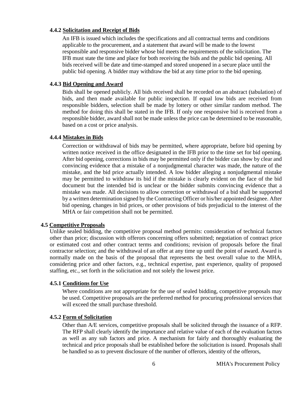#### **4.4.2 Solicitation and Receipt of Bids**

An IFB is issued which includes the specifications and all contractual terms and conditions applicable to the procurement, and a statement that award will be made to the lowest responsible and responsive bidder whose bid meets the requirements of the solicitation. The IFB must state the time and place for both receiving the bids and the public bid opening. All bids received will be date and time-stamped and stored unopened in a secure place until the public bid opening. A bidder may withdraw the bid at any time prior to the bid opening.

#### **4.4.3 Bid Opening and Award**

Bids shall be opened publicly. All bids received shall be recorded on an abstract (tabulation) of bids, and then made available for public inspection. If equal low bids are received from responsible bidders, selection shall be made by lottery or other similar random method. The method for doing this shall be stated in the IFB. If only one responsive bid is received from a responsible bidder, award shall not be made unless the price can be determined to be reasonable, based on a cost or price analysis.

#### **4.4.4 Mistakes in Bids**

Correction or withdrawal of bids may be permitted, where appropriate, before bid opening by written notice received in the office designated in the IFB prior to the time set for bid opening. After bid opening, corrections in bids may be permitted only if the bidder can show by clear and convincing evidence that a mistake of a nonjudgmental character was made, the nature of the mistake, and the bid price actually intended. A low bidder alleging a nonjudgmental mistake may be permitted to withdraw its bid if the mistake is clearly evident on the face of the bid document but the intended bid is unclear or the bidder submits convincing evidence that a mistake was made. All decisions to allow correction or withdrawal of a bid shall be supported by a written determination signed by the Contracting Officer or his/her appointed designee. After bid opening, changes in bid prices, or other provisions of bids prejudicial to the interest of the MHA or fair competition shall not be permitted.

#### **4.5 Competitive Proposals**

Unlike sealed bidding, the competitive proposal method permits: consideration of technical factors other than price; discussion with offerors concerning offers submitted; negotiation of contract price or estimated cost and other contract terms and conditions; revision of proposals before the final contractor selection; and the withdrawal of an offer at any time up until the point of award. Award is normally made on the basis of the proposal that represents the best overall value to the MHA, considering price and other factors, e.g., technical expertise, past experience, quality of proposed staffing, etc., set forth in the solicitation and not solely the lowest price.

#### **4.5.1 Conditions for Use**

Where conditions are not appropriate for the use of sealed bidding, competitive proposals may be used. Competitive proposals are the preferred method for procuring professional services that will exceed the small purchase threshold.

#### **4.5.2 Form of Solicitation**

Other than A/E services, competitive proposals shall be solicited through the issuance of a RFP. The RFP shall clearly identify the importance and relative value of each of the evaluation factors as well as any sub factors and price. A mechanism for fairly and thoroughly evaluating the technical and price proposals shall be established before the solicitation is issued. Proposals shall be handled so as to prevent disclosure of the number of offerors, identity of the offerors,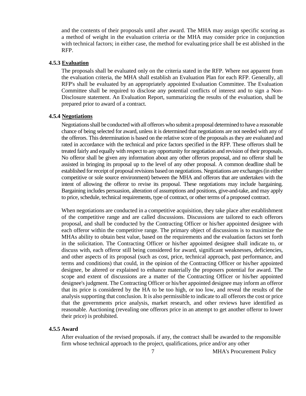and the contents of their proposals until after award. The MHA may assign specific scoring as a method of weight in the evaluation criteria or the MHA may consider price in conjunction with technical factors; in either case, the method for evaluating price shall be est ablished in the RFP.

#### **4.5.3 Evaluation**

The proposals shall be evaluated only on the criteria stated in the RFP. Where not apparent from the evaluation criteria, the MHA shall establish an Evaluation Plan for each RFP. Generally, all RFP's shall be evaluated by an appropriately appointed Evaluation Committee. The Evaluation Committee shall be required to disclose any potential conflicts of interest and to sign a Non-Disclosure statement. An Evaluation Report, summarizing the results of the evaluation, shall be prepared prior to award of a contract.

#### **4.5.4 Negotiations**

Negotiations shall be conducted with all offerors who submit a proposal determined to have a reasonable chance of being selected for award, unless it is determined that negotiations are not needed with any of the offerors. This determination is based on the relative score of the proposals as they are evaluated and rated in accordance with the technical and price factors specified in the RFP. These offerors shall be treated fairly and equally with respect to any opportunity for negotiation and revision of their proposals. No offeror shall be given any information about any other offerors proposal, and no offeror shall be assisted in bringing its proposal up to the level of any other proposal. A common deadline shall be established for receipt of proposal revisions based on negotiations. Negotiations are exchanges (in either competitive or sole source environment) between the MHA and offerors that are undertaken with the intent of allowing the offeror to revise its proposal. These negotiations may include bargaining. Bargaining includes persuasion, alteration of assumptions and positions, give-and-take, and may apply to price, schedule, technical requirements, type of contract, or other terms of a proposed contract.

When negotiations are conducted in a competitive acquisition, they take place after establishment of the competitive range and are called discussions. Discussions are tailored to each offerors proposal, and shall be conducted by the Contracting Officer or his/her appointed designee with each offeror within the competitive range. The primary object of discussions is to maximize the MHAs ability to obtain best value, based on the requirements and the evaluation factors set forth in the solicitation. The Contracting Officer or his/her appointed designee shall indicate to, or discuss with, each offeror still being considered for award, significant weaknesses, deficiencies, and other aspects of its proposal (such as cost, price, technical approach, past performance, and terms and conditions) that could, in the opinion of the Contracting Officer or his/her appointed designee, be altered or explained to enhance materially the proposers potential for award. The scope and extent of discussions are a matter of the Contracting Officer or his/her appointed designee's judgment. The Contracting Officer or his/her appointed designee may inform an offeror that its price is considered by the HA to be too high, or too low, and reveal the results of the analysis supporting that conclusion. It is also permissible to indicate to all offerors the cost or price that the governments price analysis, market research, and other reviews have identified as reasonable. Auctioning (revealing one offerors price in an attempt to get another offeror to lower their price) is prohibited.

#### **4.5.5 Award**

After evaluation of the revised proposals. if any, the contract shall be awarded to the responsible firm whose technical approach to the project, qualifications, price and/or any other

7 MHA's Procurement Policy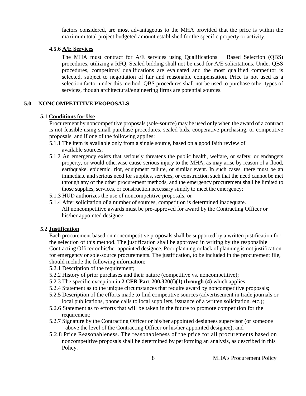factors considered, are most advantageous to the MHA provided that the price is within the maximum total project budgeted amount established for the specific property or activity.

#### **4.5.6 A/E Services**

The MHA must contract for A/E services using Qualifications — Based Selection (QBS) procedures, utilizing a RFQ. Sealed bidding shall not be used for A/E solicitations. Under QBS procedures, competitors' qualifications are evaluated and the most qualified competitor is selected, subject to negotiation of fair and reasonable compensation. Price is not used as a selection factor under this method. QBS procedures shall not be used to purchase other types of services, though architectural/engineering firms are potential sources.

#### **5.0 NONCOMPETITIVE PROPOSALS**

#### **5.1 Conditions for Use**

Procurement by noncompetitive proposals (sole-source) may be used only when the award of a contract is not feasible using small purchase procedures, sealed bids, cooperative purchasing, or competitive proposals, and if one of the following applies:

- 5.1.1 The item is available only from a single source, based on a good faith review of available sources;
- 5.1.2 An emergency exists that seriously threatens the public health, welfare, or safety, or endangers property, or would otherwise cause serious injury to the MHA, as may arise by reason of a flood, earthquake. epidemic, riot, equipment failure, or similar event. In such cases, there must be an immediate and serious need for supplies, services, or construction such that the need cannot be met through any of the other procurement methods, and the emergency procurement shall be limited to those supplies, services, or construction necessary simply to meet the emergency;
- 5.1.3 HUD authorizes the use of noncompetitive proposals; or
- 5.1.4 After solicitation of a number of sources, competition is determined inadequate. All noncompetitive awards must be pre-approved for award by the Contracting Officer or his/her appointed designee.

#### **5.2 Justification**

Each procurement based on noncompetitive proposals shall be supported by a written justification for the selection of this method. The justification shall be approved in writing by the responsible Contracting Officer or his/her appointed designee. Poor planning or lack of planning is not justification for emergency or sole-source procurements. The justification, to be included in the procurement file, should include the following information:

- 5.2.1 Description of the requirement;
- 5.2.2 History of prior purchases and their nature (competitive vs. noncompetitive);
- 5.2.3 The specific exception in **2 CFR Part 200.320(f)(1) through (4)** which applies;
- 5.2.4 Statement as to the unique circumstances that require award by noncompetitive proposals;
- 5.2.5 Description of the efforts made to find competitive sources (advertisement in trade journals or local publications, phone calls to local suppliers, issuance of a written solicitation, etc.);
- 5.2.6 Statement as to efforts that will be taken in the future to promote competition for the requirement:
- 5.2.7 Signature by the Contracting Officer or his/her appointed designees supervisor (or someone above the level of the Contracting Officer or his/her appointed designee); and
- 5.2.8 Price Reasonableness. The reasonableness of the price for all procurements based on noncompetitive proposals shall be determined by performing an analysis, as described in this Policy.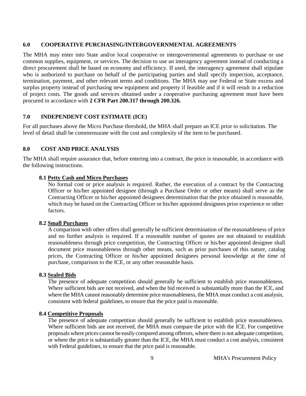#### **6.0 COOPERATIVE PURCHASING/INTERGOVERNMENTAL AGREEMENTS**

The MHA may enter into State and/or local cooperative or intergovernmental agreements to purchase or use common supplies, equipment, or services. The decision to use an interagency agreement instead of conducting a direct procurement shall be based on economy and efficiency. If used, the interagency agreement shall stipulate who is authorized to purchase on behalf of the participating parties and shall specify inspection, acceptance, termination, payment, and other relevant terms and conditions. The MHA may use Federal or State excess and surplus property instead of purchasing new equipment and property if feasible and if it will result in a reduction of project costs. The goods and services obtained under a cooperative purchasing agreement must have been procured in accordance with **2 CFR Part 200.317 through 200.326.**

#### **7.0 INDEPENDENT COST ESTIMATE (ICE)**

For all purchases above the Micro Purchase threshold, the MHA shall prepare an ICE prior to solicitation. The level of detail shall be commensurate with the cost and complexity of the item to be purchased.

#### **8.0 COST AND PRICE ANALYSIS**

The MHA shall require assurance that, before entering into a contract, the price is reasonable, in accordance with the following instructions.

#### **8.1 Petty Cash and Micro Purchases**

No formal cost or price analysis is required. Rather, the execution of a contract by the Contracting Officer or his/her appointed designee (through a Purchase Order or other means) shall serve as the Contracting Officer or his/her appointed designees determination that the price obtained is reasonable, which may be based on the Contracting Officer or his/her appointed designees prior experience or other factors.

#### **8.2 Small Purchases**

A comparison with other offers shall generally be sufficient determination of the reasonableness of price and no further analysis is required. If a reasonable number of quotes are not obtained to establish reasonableness through price competition, the Contracting Officer or his/her appointed designee shall document price reasonableness through other means, such as prior purchases of this nature, catalog prices, the Contracting Officer or his/her appointed designees personal knowledge at the time of purchase, comparison to the ICE, or any other reasonable basis.

#### **8.3 Sealed Bids**

The presence of adequate competition should generally be sufficient to establish price reasonableness. Where sufficient bids are not received, and when the bid received is substantially more than the ICE, and where the MHA cannot reasonably determine price reasonableness, the MHA must conduct a cost analysis, consistent with federal guidelines, to ensure that the price paid is reasonable.

#### **8.4 Competitive Proposals**

The presence of adequate competition should generally be sufficient to establish price reasonableness. Where sufficient bids are not received, the MHA must compare the price with the ICE. For competitive proposals where prices cannot be easily compared among offerors, where there is not adequate competition, or where the price is substantially greater than the ICE, the MHA must conduct a cost analysis, consistent with Federal guidelines, to ensure that the price paid is reasonable.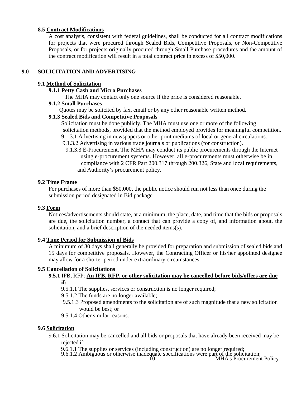#### **8.5 Contract Modifications**

A cost analysis, consistent with federal guidelines, shall be conducted for all contract modifications for projects that were procured through Sealed Bids, Competitive Proposals, or Non-Competitive Proposals, or for projects originally procured through Small Purchase procedures and the amount of the contract modification will result in a total contract price in excess of \$50,000.

#### **9.0 SOLICITATION AND ADVERTISING**

#### **9.1 Method of Solicitation**

#### **9.1.1 Petty Cash and Micro Purchases**

The MHA may contact only one source if the price is considered reasonable.

#### **9.1.2 Small Purchases**

Quotes may be solicited by fax, email or by any other reasonable written method.

#### **9.1.3 Sealed Bids and Competitive Proposals**

Solicitation must be done publicly. The MHA must use one or more of the following solicitation methods, provided that the method employed provides for meaningful competition. 9.1.3.1 Advertising in newspapers or other print mediums of local or general circulations.

- 9.1.3.2 Advertising in various trade journals or publications (for construction).
- 9.1.3.3 E-Procurement. The MHA may conduct its public procurements through the Internet using e-procurement systems. However, all e-procurements must otherwise be in compliance with 2 CFR Part 200.317 through 200.326, State and local requirements, and Authority's procurement policy.

#### **9.2 Time Frame**

For purchases of more than \$50,000, the public notice should run not less than once during the submission period designated in Bid package.

#### **9.3 Form**

Notices/advertisements should state, at a minimum, the place, date, and time that the bids or proposals are due, the solicitation number, a contact that can provide a copy of, and information about, the solicitation, and a brief description of the needed items(s).

#### **9.4 Time Period for Submission of Bids**

A minimum of 30 days shall generally be provided for preparation and submission of sealed bids and 15 days for competitive proposals. However, the Contracting Officer or his/her appointed designee may allow for a shorter period under extraordinary circumstances.

#### **9.5 Cancellation of Solicitations**

#### **9.5.1** IFB, RFP: **An IFB, RFP, or other solicitation may be cancelled before bids/offers are due if:**

- 9.5.1.1 The supplies, services or construction is no longer required;
- 9.5.1.2 The funds are no longer available;
- 9.5.1.3 Proposed amendments to the solicitation are of such magnitude that a new solicitation would be best; or
- 9.5.1.4 Other similar reasons.

#### **9.6 Solicitation**

9.6.1 Solicitation may be cancelled and all bids or proposals that have already been received may be rejected if:

9.6.1.1 The supplies or services (including construction) are no longer required; 9.6.1.2 Ambiguous or otherwise inadequate specifications were part of the solicitation; **<sup>10</sup>** MHA's Procurement Policy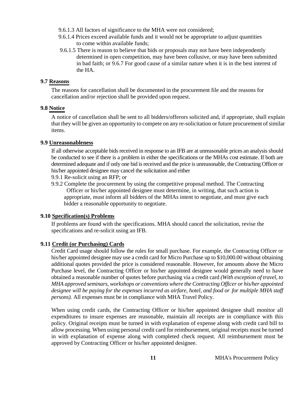- 9.6.1.3 All factors of significance to the MHA were not considered;
- 9.6.1.4 Prices exceed available funds and it would not be appropriate to adjust quantities to come within available funds;
- 9.6.1.5 There is reason to believe that bids or proposals may not have been independently determined in open competition, may have been collusive, or may have been submitted in bad faith; or 9.6.7 For good cause of a similar nature when it is in the best interest of the HA.

#### **9.7 Reasons**

The reasons for cancellation shall be documented in the procurement file and the reasons for cancellation and/or rejection shall be provided upon request.

#### **9.8 Notice**

A notice of cancellation shall be sent to all bidders/offerors solicited and, if appropriate, shall explain that they will be given an opportunity to compete on any re-solicitation or future procurement of similar items.

#### **9.9 Unreasonableness**

If all otherwise acceptable bids received in response to an IFB are at unreasonable prices an analysis should be conducted to see if there is a problem in either the specifications or the MHAs cost estimate. If both are determined adequate and if only one bid is received and the price is unreasonable, the Contracting Officer or his/her appointed designee may cancel the solicitation and either

9.9.1 Re-solicit using an RFP; or

9.9.2 Complete the procurement by using the competitive proposal method. The Contracting Officer or his/her appointed designee must determine, in writing, that such action is appropriate, must inform all bidders of the MHAs intent to negotiate, and must give each bidder a reasonable opportunity to negotiate.

#### **9.10 Specification(s) Problems**

If problems are found with the specifications. MHA should cancel the solicitation, revise the specifications and re-solicit using an IFB.

#### **9.11 Credit (or Purchasing) Cards**

Credit Card usage should follow the rules for small purchase. For example, the Contracting Officer or his/her appointed designee may use a credit card for Micro Purchase up to \$10,000.00 without obtaining additional quotes provided the price is considered reasonable. However, for amounts above the Micro Purchase level, the Contracting Officer or his/her appointed designee would generally need to have obtained a reasonable number of quotes before purchasing via a credit card *(With exception of travel, to MHA approved seminars, workshops or conventions where the Contracting Officer or his/her appointed designee will be paying for the expenses incurred as airfare, hotel, and food or .for multiple MHA staff persons).* All expenses must be in compliance with MHA Travel Policy.

When using credit cards, the Contracting Officer or his/her appointed designee shall monitor all expenditures to insure expenses are reasonable, maintain all receipts are in compliance with this policy. Original receipts must be turned in with explanation of expense along with credit card bill to allow processing. When using personal credit card for reimbursement, original receipts must be turned in with explanation of expense along with completed check request. All reimbursement must be approved by Contracting Officer or his/her appointed designee.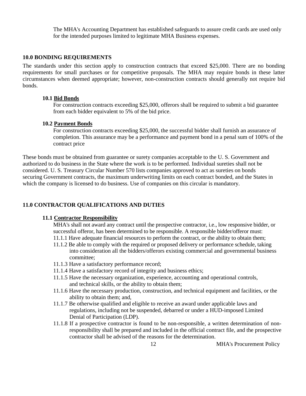The MHA's Accounting Department has established safeguards to assure credit cards are used only for the intended purposes limited to legitimate MHA Business expenses.

#### **10.0 BONDING REQUIREMENTS**

The standards under this section apply to construction contracts that exceed \$25,000. There are no bonding requirements for small purchases or for competitive proposals. The MHA may require bonds in these latter circumstances when deemed appropriate; however, non-construction contracts should generally not require bid bonds.

#### **10.1 Bid Bonds**

For construction contracts exceeding \$25,000, offerors shall be required to submit a bid guarantee from each bidder equivalent to 5% of the bid price.

#### **10.2 Payment Bonds**

For construction contracts exceeding \$25,000, the successful bidder shall furnish an assurance of completion. This assurance may be a performance and payment bond in a penal sum of 100% of the contract price

These bonds must be obtained from guarantee or surety companies acceptable to the U. S. Government and authorized to do business in the State where the work is to be performed. Individual sureties shall not be considered. U. S. Treasury Circular Number 570 lists companies approved to act as sureties on bonds securing Government contracts, the maximum underwriting limits on each contract bonded, and the States in which the company is licensed to do business. Use of companies on this circular is mandatory.

#### **11.0 CONTRACTOR QUALIFICATIONS AND DUTIES**

#### **11.1 Contractor Responsibility**

MHA's shall not award any contract until the prospective contractor, i.e., low responsive bidder, or successful offeror, has been determined to be responsible. A responsible bidder/offeror must:

- 11.1.1 Have adequate financial resources to perform the contract, or the ability to obtain them;
- 11.1.2 Be able to comply with the required or proposed delivery or performance schedule, taking into consideration all the bidders/offerors existing commercial and governmental business committee;
- 11.1.3 Have a satisfactory performance record;
- 11.1.4 Have a satisfactory record of integrity and business ethics;
- 11.1.5 Have the necessary organization, experience, accounting and operational controls, and technical skills, or the ability to obtain them;
- 11.1.6 Have the necessary production, construction, and technical equipment and facilities, or the ability to obtain them; and,
- 11.1.7 Be otherwise qualified and eligible to receive an award under applicable laws and regulations, including not be suspended, debarred or under a HUD-imposed Limited Denial of Participation (LDP).
- 11.1.8 If a prospective contractor is found to be non-responsible, a written determination of nonresponsibility shall be prepared and included in the official contract file, and the prospective contractor shall be advised of the reasons for the determination.

12 **MHA's Procurement Policy**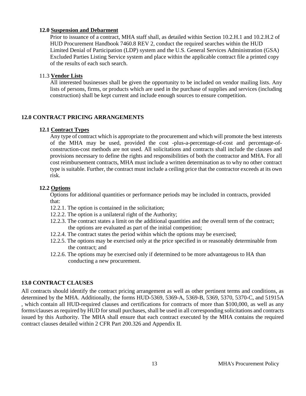#### **12.0 Suspension and Debarment**

Prior to issuance of a contract, MHA staff shall, as detailed within Section 10.2.H.1 and 10.2.H.2 of HUD Procurement Handbook 7460.8 REV 2, conduct the required searches within the HUD Limited Denial of Participation (LDP) system and the U.S. General Services Administration (GSA) Excluded Parties Listing Service system and place within the applicable contract file a printed copy of the results of each such search.

#### 11.3 **Vendor Lists**

All interested businesses shall be given the opportunity to be included on vendor mailing lists. Any lists of persons, firms, or products which are used in the purchase of supplies and services (including construction) shall be kept current and include enough sources to ensure competition.

#### **12.0 CONTRACT PRICING ARRANGEMENTS**

#### **12.1 Contract Types**

Any type of contract which is appropriate to the procurement and which will promote the best interests of the MHA may be used, provided the cost -plus-a-percentage-of-cost and percentage-ofconstruction-cost methods are not used. All solicitations and contracts shall include the clauses and provisions necessary to define the rights and responsibilities of both the contractor and MHA. For all cost reimbursement contracts, MHA must include a written determination as to why no other contract type is suitable. Further, the contract must include a ceiling price that the contractor exceeds at its own risk.

#### **12.2 Options**

Options for additional quantities or performance periods may be included in contracts, provided that:

- 12.2.1. The option is contained in the solicitation;
- 12.2.2. The option is a unilateral right of the Authority;
- 12.2.3. The contract states a limit on the additional quantities and the overall term of the contract; the options are evaluated as part of the initial competition;
- 12.2.4. The contract states the period within which the options may be exercised;
- 12.2.5. The options may be exercised only at the price specified in or reasonably determinable from the contract; and
- 12.2.6. The options may be exercised only if determined to be more advantageous to HA than conducting a new procurement.

#### **13.0 CONTRACT CLAUSES**

All contracts should identify the contract pricing arrangement as well as other pertinent terms and conditions, as determined by the MHA. Additionally, the forms HUD-5369, 5369-A, 5369-B, 5369, 5370, 5370-C, and 51915A , which contain all HUD-required clauses and certifications for contracts of more than \$100,000, as well as any forms/clauses as required by HUD for small purchases, shall be used in all corresponding solicitations and contracts issued by this Authority. The MHA shall ensure that each contract executed by the MHA contains the required contract clauses detailed within 2 CFR Part 200.326 and Appendix II.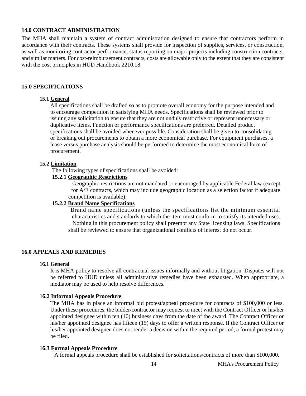#### **14.0 CONTRACT ADMINISTRATION**

The MHA shall maintain a system of contract administration designed to ensure that contractors perform in accordance with their contracts. These systems shall provide for inspection of supplies, services, or construction, as well as monitoring contractor performance, status reporting on major projects including construction contracts, and similar matters. For cost-reimbursement contracts, costs are allowable only to the extent that they are consistent with the cost principles in HUD Handbook 2210.18.

#### **15.0 SPECIFICATIONS**

#### **15.1 General**

All specifications shall be drafted so as to promote overall economy for the purpose intended and to encourage competition in satisfying MHA needs. Specifications shall be reviewed prior to issuing any solicitation to ensure that they are not unduly restrictive or represent unnecessary or duplicative items. Function or performance specifications are preferred. Detailed product specifications shall be avoided whenever possible. Consideration shall be given to consolidating or breaking out procurements to obtain a more economical purchase. For equipment purchases, a lease versus purchase analysis should be performed to determine the most economical form of procurement.

#### **15.2 Limitation**

The following types of specifications shall be avoided:

#### **15.2.1 Geographic Restrictions**

Geographic restrictions are not mandated or encouraged by applicable Federal law (except for A/E contracts, which may include geographic location as a selection factor if adequate competition is available);

#### **15.2.2 Brand Name Specifications**

Brand name specifications (unless the specifications list the minimum essential characteristics and standards to which the item must conform to satisfy its intended use). Nothing in this procurement policy shall preempt any State licensing laws. Specifications shall be reviewed to ensure that organizational conflicts of interest do not occur.

#### **16.0 APPEALS AND REMEDIES**

#### **16.1 General**

It is MHA policy to resolve all contractual issues informally and without litigation. Disputes will not be referred to HUD unless all administrative remedies have been exhausted. When appropriate, a mediator may be used to help resolve differences.

#### **16.2 Informal Appeals Procedure**

The MHA has in place an informal bid protest/appeal procedure for contracts of \$100,000 or less. Under these procedures, the bidder/contractor may request to meet with the Contract Officer or his/her appointed designee within ten (10) business days from the date of the award. The Contract Officer or his/her appointed designee has fifteen (15) days to offer a written response. If the Contract Officer or his/her appointed designee does not render a decision within the required period, a formal protest may be filed.

#### **16.3 Formal Appeals Procedure**

A formal appeals procedure shall be established for solicitations/contracts of more than \$100,000.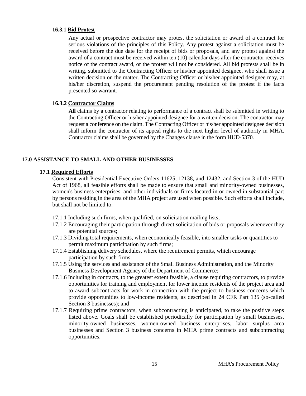#### **16.3.1 Bid Protest**

Any actual or prospective contractor may protest the solicitation or award of a contract for serious violations of the principles of this Policy. Any protest against a solicitation must be received before the due date for the receipt of bids or proposals, and any protest against the award of a contract must be received within ten (10) calendar days after the contractor receives notice of the contract award, or the protest will not be considered. All bid protests shall be in writing, submitted to the Contracting Officer or his/her appointed designee, who shall issue a written decision on the matter. The Contracting Officer or his/her appointed designee may, at his/her discretion, suspend the procurement pending resolution of the protest if the facts presented so warrant.

#### **16.3.2 Contractor Claims**

**All** claims by a contractor relating to performance of a contract shall be submitted in writing to the Contracting Officer or his/her appointed designee for a written decision. The contractor may request a conference on the claim. The Contracting Officer or his/her appointed designee decision shall inform the contractor of its appeal rights to the next higher level of authority in MHA. Contractor claims shall be governed by the Changes clause in the form HUD-5370.

#### **17.0 ASSISTANCE TO SMALL AND OTHER BUSINESSES**

#### **17.1 Required Efforts**

Consistent with Presidential Executive Orders 11625, 12138, and 12432. and Section 3 of the HUD Act of 1968, all feasible efforts shall be made to ensure that small and minority-owned businesses, women's business enterprises, and other individuals or firms located in or owned in substantial part by persons residing in the area of the MHA project are used when possible. Such efforts shall include, but shall not be limited to:

- 17.1.1 Including such firms, when qualified, on solicitation mailing lists;
- 17.1.2 Encouraging their participation through direct solicitation of bids or proposals whenever they are potential sources;
- 17.1.3 Dividing total requirements, when economically feasible, into smaller tasks or quantities to permit maximum participation by such firms;
- 17.1.4 Establishing delivery schedules, where the requirement permits, which encourage participation by such firms;
- 17.1.5 Using the services and assistance of the Small Business Administration, and the Minority Business Development Agency of the Department of Commerce;
- 17.1.6 Including in contracts, to the greatest extent feasible, a clause requiring contractors, to provide opportunities for training and employment for lower income residents of the project area and to award subcontracts for work in connection with the project to business concerns which provide opportunities to low-income residents, as described in 24 CFR Part 135 (so-called Section 3 businesses); and
- 17.1.7 Requiring prime contractors, when subcontracting is anticipated, to take the positive steps listed above. Goals shall be established periodically for participation by small businesses, minority-owned businesses, women-owned business enterprises, labor surplus area businesses and Section 3 business concerns in MHA prime contracts and subcontracting opportunities.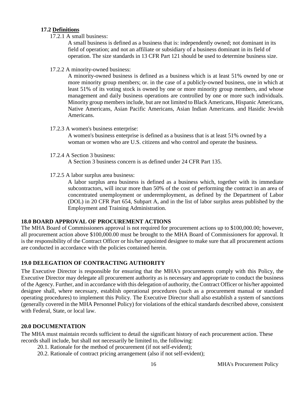#### **17.2 Definitions**

17.2.1 A small business:

A small business is defined as a business that is: independently owned; not dominant in its field of operation; and not an affiliate or subsidiary of a business dominant in its field of operation. The size standards in 13 CFR Part 121 should be used to determine business size.

17.2.2 A minority-owned business:

A minority-owned business is defined as a business which is at least 51% owned by one or more minority group members; or. in the case of a publicly-owned business, one in which at least 51% of its voting stock is owned by one or more minority group members, and whose management and daily business operations are controlled by one or more such individuals. Minority group members include, but are not limited to Black Americans, Hispanic Americans, Native Americans, Asian Pacific Americans, Asian Indian Americans. and Hasidic Jewish Americans.

17.2.3 A women's business enterprise:

A women's business enterprise is defined as a business that is at least 51% owned by a woman or women who are U.S. citizens and who control and operate the business.

17.2.4 A Section 3 business:

A Section 3 business concern is as defined under 24 CFR Part 135.

17.2.5 A labor surplus area business:

A labor surplus area business is defined as a business which, together with its immediate subcontractors, will incur more than 50% of the cost of performing the contract in an area of concentrated unemployment or underemployment, as defined by the Department of Labor (DOL) in 20 CFR Part 654, Subpart A, and in the list of labor surplus areas published by the Employment and Training Administration.

#### **18.0 BOARD APPROVAL OF PROCUREMENT ACTIONS**

The MHA Board of Commissioners approval is not required for procurement actions up to \$100,000.00; however, all procurement action above \$100,000.00 must be brought to the MHA Board of Commissioners for approval. It is the responsibility of the Contract Officer or his/her appointed designee to make sure that all procurement actions are conducted in accordance with the policies contained herein.

#### **19.0 DELEGATION OF CONTRACTING AUTHORITY**

The Executive Director is responsible for ensuring that the MHA's procurements comply with this Policy, the Executive Director may delegate all procurement authority as is necessary and appropriate to conduct the business of the Agency. Further, and in accordance with this delegation of authority, the Contract Officer or his/her appointed designee shall, where necessary, establish operational procedures (such as a procurement manual or standard operating procedures) to implement this Policy. The Executive Director shall also establish a system of sanctions (generally covered in the MHA Personnel Policy) for violations of the ethical standards described above, consistent with Federal, State, or local law.

#### **20.0 DOCUMENTATION**

The MHA must maintain records sufficient to detail the significant history of each procurement action. These records shall include, but shall not necessarily be limited to, the following:

- 20.1. Rationale for the method of procurement (if not self-evident);
- 20.2. Rationale of contract pricing arrangement (also if not self-evident);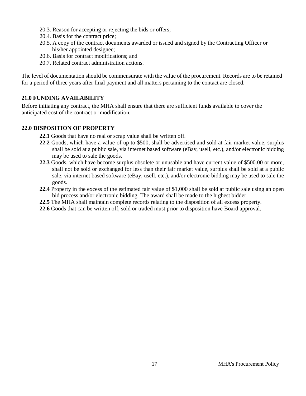- 20.3. Reason for accepting or rejecting the bids or offers;
- 20.4. Basis for the contract price;
- 20.5. A copy of the contract documents awarded or issued and signed by the Contracting Officer or his/her appointed designee;
- 20.6. Basis for contract modifications; and
- 20.7. Related contract administration actions.

The level of documentation should be commensurate with the value of the procurement. Records are to be retained for a period of three years after final payment and all matters pertaining to the contact are closed.

#### **21.0 FUNDING AVAILABILITY**

Before initiating any contract, the MHA shall ensure that there are sufficient funds available to cover the anticipated cost of the contract or modification.

#### **22.0 DISPOSITION OF PROPERTY**

- **22.1** Goods that have no real or scrap value shall be written off.
- **22.2** Goods, which have a value of up to \$500, shall be advertised and sold at fair market value, surplus shall be sold at a public sale, via internet based software (eBay, usell, etc.), and/or electronic bidding may be used to sale the goods.
- **22.3** Goods, which have become surplus obsolete or unusable and have current value of \$500.00 or more, shall not be sold or exchanged for less than their fair market value, surplus shall be sold at a public sale, via internet based software (eBay, usell, etc.), and/or electronic bidding may be used to sale the goods.
- **22.4** Property in the excess of the estimated fair value of \$1,000 shall be sold at public sale using an open bid process and/or electronic bidding. The award shall be made to the highest bidder.
- **22.5** The MHA shall maintain complete records relating to the disposition of all excess property.
- **22.6** Goods that can be written off, sold or traded must prior to disposition have Board approval.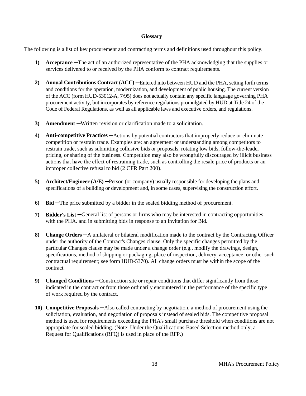#### **Glossary**

The following is a list of key procurement and contracting terms and definitions used throughout this policy.

- **1) Acceptance** —The act of an authorized representative of the PHA acknowledging that the supplies or services delivered to or received by the PHA conform to contract requirements.
- **2) Annual Contributions Contract (ACC)** —Entered into between HUD and the PHA, setting forth terms and conditions for the operation, modernization, and development of public housing. The current version of the ACC (form HUD-53012-A, 7/95) does not actually contain any specific language governing PHA procurement activity, but incorporates by reference regulations promulgated by HUD at Title 24 of the Code of Federal Regulations, as well as all applicable laws and executive orders, and regulations.
- **3) Amendment** —Written revision or clarification made to a solicitation.
- **4) Anti-competitive Practices** —Actions by potential contractors that improperly reduce or eliminate competition or restrain trade. Examples are: an agreement or understanding among competitors to restrain trade, such as submitting collusive bids or proposals, rotating low bids, follow-the-leader pricing, or sharing of the business. Competition may also be wrongfully discouraged by illicit business actions that have the effect of restraining trade, such as controlling the resale price of products or an improper collective refusal to bid (2 CFR Part 200).
- **5) Architect/Engineer** (A/E) —Person (or company) usually responsible for developing the plans and specifications of a building or development and, in some cases, supervising the construction effort.
- **6) Bid** —The price submitted by a bidder in the sealed bidding method of procurement.
- **7) Bidder's List** —General list of persons or firms who may be interested in contracting opportunities with the PHA. and in submitting bids in response to an Invitation for Bid.
- **8) Change Orders** —A unilateral or bilateral modification made to the contract by the Contracting Officer under the authority of the Contract's Changes clause. Only the specific changes permitted by the particular Changes clause may be made under a change order (e.g., modify the drawings, design, specifications, method of shipping or packaging, place of inspection, delivery, acceptance, or other such contractual requirement; see form HUD-5370). All change orders must be within the scope of the contract.
- **9) Changed Conditions** —Construction site or repair conditions that differ significantly from those indicated in the contract or from those ordinarily encountered in the performance of the specific type of work required by the contract.
- **10) Competitive Proposals** —Also called contracting by negotiation, a method of procurement using the solicitation, evaluation, and negotiation of proposals instead of sealed bids. The competitive proposal method is used for requirements exceeding the PHA's small purchase threshold when conditions are not appropriate for sealed bidding. (Note: Under the Qualifications-Based Selection method only, a Request for Qualifications (RFQ) is used in place of the RFP.)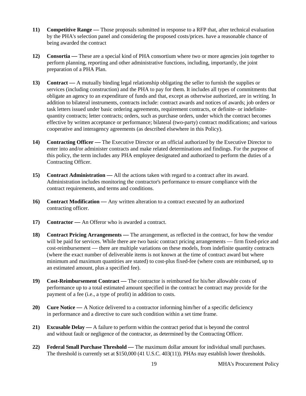- **11) Competitive Range —** Those proposals submitted in response to a RFP that, after technical evaluation by the PHA's selection panel and considering the proposed costs/prices. have a reasonable chance of being awarded the contract
- **12) Consortia —** These are a special kind of PHA consortium where two or more agencies join together to perform planning, reporting and other administrative functions, including, importantly, the joint preparation of a PHA Plan.
- **13) Contract —** A mutually binding legal relationship obligating the seller to furnish the supplies or services (including construction) and the PHA to pay for them. It includes all types of commitments that obligate an agency to an expenditure of funds and that, except as otherwise authorized, are in writing. In addition to bilateral instruments, contracts include: contract awards and notices of awards; job orders or task letters issued under basic ordering agreements, requirement contracts, or definite- or indefinitequantity contracts; letter contracts; orders, such as purchase orders, under which the contract becomes effective by written acceptance or performance; bilateral (two-party) contract modifications; and various cooperative and interagency agreements (as described elsewhere in this Policy).
- **14) Contracting Officer —** The Executive Director or an official authorized by the Executive Director to enter into and/or administer contracts and make related determinations and findings. For the purpose of this policy, the term includes any PHA employee designated and authorized to perform the duties of a Contracting Officer.
- **15) Contract Administration —** All the actions taken with regard to a contract after its award. Administration includes monitoring the contractor's performance to ensure compliance with the contract requirements, and terms and conditions.
- **16) Contract Modification —** Any written alteration to a contract executed by an authorized contracting officer.
- **17) Contractor —** An Offeror who is awarded a contract.
- **18) Contract Pricing Arrangements —** The arrangement, as reflected in the contract, for how the vendor will be paid for services. While there are two basic contract pricing arrangements — firm fixed-price and cost-reimbursement — there are multiple variations on these models, from indefinite quantity contracts (where the exact number of deliverable items is not known at the time of contract award but where minimum and maximum quantities are stated) to cost-plus fixed-fee (where costs are reimbursed, up to an estimated amount, plus a specified fee).
- **19) Cost-Reimbursement Contract —** The contractor is reimbursed for his/her allowable costs of performance up to a total estimated amount specified in the contract he contract may provide for the payment of a fee (i.e., a type of profit) in addition to costs.
- **20) Cure Notice —** A Notice delivered to a contractor informing him/her of a specific deficiency in performance and a directive to cure such condition within a set time frame.
- **21) Excusable Delay —** A failure to perform within the contract period that is beyond the control and without fault or negligence of the contractor, as determined by the Contracting Officer.
- **22) Federal Small Purchase Threshold —** The maximum dollar amount for individual small purchases. The threshold is currently set at \$150,000 (41 U.S.C. 403(11)). PHAs may establish lower thresholds.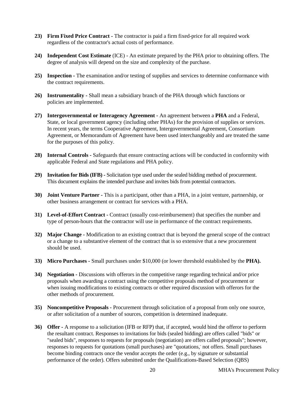- **23) Firm Fixed Price Contract -** The contractor is paid a firm fixed-price for all required work regardless of the contractor's actual costs of performance.
- **24) Independent Cost Estimate** (ICE) An estimate prepared by the PHA prior to obtaining offers. The degree of analysis will depend on the size and complexity of the purchase.
- **25) Inspection -** The examination and/or testing of supplies and services to determine conformance with the contract requirements.
- **26) Instrumentality -** Shall mean a subsidiary branch of the PHA through which functions or policies are implemented.
- **27) Intergovernmental or Interagency Agreement -** An agreement between a **PHA** and a Federal, State, or local government agency (including other PHAs) for the provision of supplies or services. In recent years, the terms Cooperative Agreement, Intergovernmental Agreement, Consortium Agreement, or Memorandum of Agreement have been used interchangeably and are treated the same for the purposes of this policy.
- **28) Internal Controls -** Safeguards that ensure contracting actions will be conducted in conformity with applicable Federal and State regulations and PHA policy.
- **29) Invitation for Bids (IFB) -** Solicitation type used under the sealed bidding method of procurement. This document explains the intended purchase and invites bids from potential contractors.
- **30) Joint Venture Partner -** This is a participant, other than a PHA, in a joint venture, partnership, or other business arrangement or contract for services with a PHA.
- **31) Level-of-Effort Contract -** Contract (usually cost-reimbursement) that specifies the number and type of person-hours that the contractor will use in performance of the contract requirements.
- **32) Major Change -** Modification to an existing contract that is beyond the general scope of the contract or a change to a substantive element of the contract that is so extensive that a new procurement should be used.
- **33) Micro Purchases -** Small purchases under \$10,000 (or lower threshold established by the **PHA).**
- **34) Negotiation -** Discussions with offerors in the competitive range regarding technical and/or price proposals when awarding a contract using the competitive proposals method of procurement or when issuing modifications to existing contracts or other required discussion with offerors for the other methods of procurement.
- **35) Noncompetitive Proposals -** Procurement through solicitation of a proposal from only one source, or after solicitation of a number of sources, competition is determined inadequate.
- **36) Offer -** A response to a solicitation (IFB or RFP) that, if accepted, would bind the offeror to perform the resultant contract. Responses to invitations for bids (sealed bidding) are offers called "bids" or "sealed bids", responses to requests for proposals (negotiation) are offers called proposals"; however, responses to requests for quotations (small purchases) are "quotations, not offers. Small purchases become binding contracts once the vendor accepts the order (e.g., by signature or substantial performance of the order). Offers submitted under the Qualifications-Based Selection (QBS)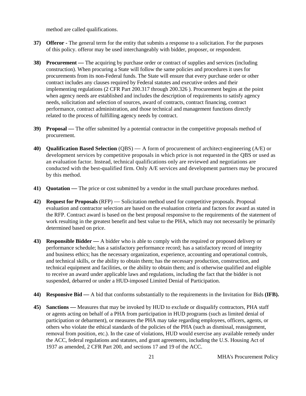method are called qualifications.

- **37) Offeror -** The general term for the entity that submits a response to a solicitation. For the purposes of this policy. offeror may be used interchangeably with bidder, proposer, or respondent.
- **38) Procurement —** The acquiring by purchase order or contract of supplies and services (including construction). When procuring a State will follow the same policies and procedures it uses for procurements from its non-Federal funds. The State will ensure that every purchase order or other contract includes any clauses required by Federal statutes and executive orders and their implementing regulations (2 CFR Part 200.317 through 200.326 ). Procurement begins at the point when agency needs are established and includes the description of requirements to satisfy agency needs, solicitation and selection of sources, award of contracts, contract financing, contract performance, contract administration, and those technical and management functions directly related to the process of fulfilling agency needs by contract.
- **39) Proposal —** The offer submitted by a potential contractor in the competitive proposals method of procurement.
- **40) Qualification Based Selection** (QBS) A form of procurement of architect-engineering (A/E) or development services by competitive proposals in which price is not requested in the QBS or used as an evaluation factor. Instead, technical qualifications only are reviewed and negotiations are conducted with the best-qualified firm. Only A/E services and development partners may be procured by this method.
- **41) Quotation —** The price or cost submitted by a vendor in the small purchase procedures method.
- **42) Request for Proposals** (RFP) Solicitation method used for competitive proposals. Proposal evaluation and contractor selection are based on the evaluation criteria and factors for award as stated in the RFP. Contract award is based on the best proposal responsive to the requirements of the statement of work resulting in the greatest benefit and best value to the PHA, which may not necessarily be primarily determined based on price.
- **43) Responsible Bidder —** A bidder who is able to comply with the required or proposed delivery or performance schedule; has a satisfactory performance record; has a satisfactory record of integrity and business ethics; has the necessary organization, experience, accounting and operational controls, and technical skills, or the ability to obtain them; has the necessary production, construction, and technical equipment and facilities, or the ability to obtain them; and is otherwise qualified and eligible to receive an award under applicable laws and regulations, including the fact that the bidder is not suspended, debarred or under a HUD-imposed Limited Denial of Participation.
- **44) Responsive Bid —** A bid that conforms substantially to the requirements in the Invitation for Bids **(IFB).**
- **45) Sanctions —** Measures that may be invoked by HUD to exclude or disqualify contractors, PHA staff or agents acting on behalf of a PHA from participation in HUD programs (such as limited denial of participation or debarment), or measures the PHA may take regarding employees, officers, agents, or others who violate the ethical standards of the policies of the PHA (such as dismissal, reassignment, removal from position, etc.). In the case of violations, HUD would exercise any available remedy under the ACC, federal regulations and statutes, and grant agreements, including the U.S. Housing Act of 1937 as amended, 2 CFR Part 200, and sections 17 and 19 of the ACC.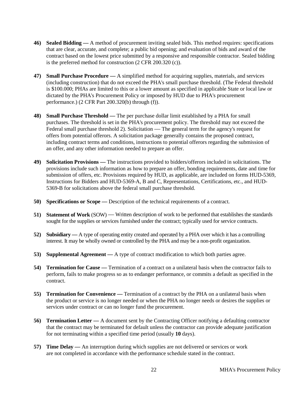- **46) Sealed Bidding —** A method of procurement inviting sealed bids. This method requires: specifications that are clear, accurate, and complete; a public bid opening; and evaluation of bids and award of the contract based on the lowest price submitted by a responsive and responsible contractor. Sealed bidding is the preferred method for construction (2 CFR 200.320 (c)).
- **47) Small Purchase Procedure —** A simplified method for acquiring supplies, materials, and services (including construction) that do not exceed the PHA's small purchase threshold. (The Federal threshold is \$100.000; PHAs are limited to this or a lower amount as specified in applicable State or local law or dictated by the PHA's Procurement Policy or imposed by HUD due to PHA's procurement performance.) (2 CFR Part 200.320(b) through (f)).
- **48) Small Purchase Threshold —** The per purchase dollar limit established by a PHA for small purchases. The threshold is set in the PHA's procurement policy. The threshold may not exceed the Federal small purchase threshold 2). Solicitation — The general term for the agency's request for offers from potential offerors. A solicitation package generally contains the proposed contract, including contract terms and conditions, instructions to potential offerors regarding the submission of an offer, and any other information needed to prepare an offer.
- **49) Solicitation Provisions —** The instructions provided to bidders/offerors included in solicitations. The provisions include such information as how to prepare an offer, bonding requirements, date and time for submission of offers, etc. Provisions required by HUD, as applicable, are included on forms HUD-5369, Instructions for Bidders and HUD-5369-A, B and C, Representations, Certifications, etc., and HUD-5369-B for solicitations above the federal small purchase threshold.
- **50) Specifications or Scope —** Description of the technical requirements of a contract.
- **51) Statement of Work** (SOW) Written description of work to be performed that establishes the standards sought for the supplies or services furnished under the contract; typically used for service contracts.
- **52) Subsidiary —** A type of operating entity created and operated by a PHA over which it has a controlling interest. It may be wholly owned or controlled by the PHA and may be a non-profit organization.
- **53) Supplemental Agreement —** A type of contract modification to which both parties agree.
- **54) Termination for Cause —** Termination of a contract on a unilateral basis when the contractor fails to perform, fails to make progress so as to endanger performance, or commits a default as specified in the contract.
- **55) <b>Termination for Convenience** Termination of a contract by the PHA on a unilateral basis when the product or service is no longer needed or when the PHA no longer needs or desires the supplies or services under contract or can no longer fund the procurement.
- **56) Termination Letter —** A document sent by the Contracting Officer notifying a defaulting contractor that the contract may be terminated for default unless the contractor can provide adequate justification for not terminating within a specified time period (usually **10** days).
- **57) Time Delay —** An interruption during which supplies are not delivered or services or work are not completed in accordance with the performance schedule stated in the contract.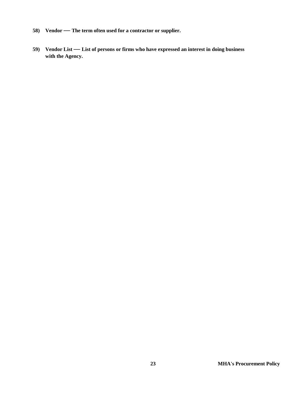- **58) Vendor The term often used for a contractor or supplier.**
- **59) Vendor List List of persons or firms who have expressed an interest in doing business with the Agency.**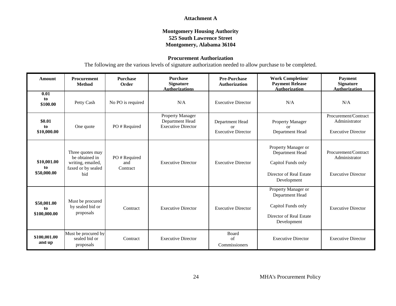#### **Attachment A**

#### **Montgomery Housing Authority 525 South Lawrence Street Montgomery, Alabama 36104**

#### **Procurement Authorization**

The following are the various levels of signature authorization needed to allow purchase to be completed.

| <b>Amount</b>                     | <b>Procurement</b><br><b>Method</b>                                                  | <b>Purchase</b><br>Order       | <b>Purchase</b><br><b>Signature</b><br><b>Authorizations</b>     | <b>Pre-Purchase</b><br><b>Authorization</b>              | <b>Work Completion/</b><br><b>Payment Release</b><br><b>Authorization</b>                              | <b>Payment</b><br><b>Signature</b><br><b>Authorization</b>         |
|-----------------------------------|--------------------------------------------------------------------------------------|--------------------------------|------------------------------------------------------------------|----------------------------------------------------------|--------------------------------------------------------------------------------------------------------|--------------------------------------------------------------------|
| 0.01<br>to<br>\$100.00            | Petty Cash                                                                           | No PO is required              | N/A                                                              | <b>Executive Director</b>                                | N/A                                                                                                    | N/A                                                                |
| \$0.01<br>to<br>\$10,000.00       | One quote                                                                            | PO#Required                    | Property Manager<br>Department Head<br><b>Executive Director</b> | Department Head<br>$\alpha$<br><b>Executive Director</b> | Property Manager<br>or<br>Department Head                                                              | Procurement/Contract<br>Administrator<br><b>Executive Director</b> |
| \$10,001.00<br>to<br>\$50,000.00  | Three quotes may<br>be obtained in<br>writing, emailed,<br>faxed or by sealed<br>bid | PO#Required<br>and<br>Contract | <b>Executive Director</b>                                        | <b>Executive Director</b>                                | Property Manager or<br>Department Head<br>Capitol Funds only<br>Director of Real Estate<br>Development | Procurement/Contract<br>Administrator<br><b>Executive Director</b> |
| \$50,001.00<br>to<br>\$100,000.00 | Must be procured<br>by sealed bid or<br>proposals                                    | Contract                       | <b>Executive Director</b>                                        | <b>Executive Director</b>                                | Property Manager or<br>Department Head<br>Capitol Funds only<br>Director of Real Estate<br>Development | <b>Executive Director</b>                                          |
| \$100,001.00<br>and up            | Must be procured by<br>sealed bid or<br>proposals                                    | Contract                       | <b>Executive Director</b>                                        | Board<br>of<br>Commissioners                             | <b>Executive Director</b>                                                                              | <b>Executive Director</b>                                          |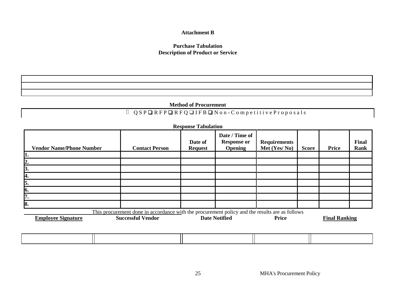#### **Attachment B**

#### **Purchase Tabulation Description of Product or Service**

|  | <b>Method of Procurement</b> |
|--|------------------------------|
|--|------------------------------|

## Q S P ❑ R F P ❑ R F Q ❑ I F B ❑ N o n - C o m p e t i t i v e P r o p o s a l s

| <b>Vendor Name/Phone Number</b> | <b>Contact Person</b>                                                                                                      | Date of<br><b>Request</b> | Date / Time of<br><b>Response or</b><br><b>Opening</b> | <b>Requirements</b><br>Met (Yes/No) | <b>Score</b> | <b>Price</b>         | Final<br><b>Rank</b> |
|---------------------------------|----------------------------------------------------------------------------------------------------------------------------|---------------------------|--------------------------------------------------------|-------------------------------------|--------------|----------------------|----------------------|
|                                 |                                                                                                                            |                           |                                                        |                                     |              |                      |                      |
| 2.                              |                                                                                                                            |                           |                                                        |                                     |              |                      |                      |
| 3.<br>И.                        |                                                                                                                            |                           |                                                        |                                     |              |                      |                      |
| 5.                              |                                                                                                                            |                           |                                                        |                                     |              |                      |                      |
| 6.                              |                                                                                                                            |                           |                                                        |                                     |              |                      |                      |
| 7.                              |                                                                                                                            |                           |                                                        |                                     |              |                      |                      |
| 8.                              |                                                                                                                            |                           |                                                        |                                     |              |                      |                      |
| <b>Employee Signature</b>       | This procurement done in accordance with the procurement policy and the results are as follows<br><b>Successful Vendor</b> |                           | <b>Date Notified</b>                                   | <b>Price</b>                        |              | <b>Final Ranking</b> |                      |

25 MHA's Procurement Policy

**Response Tabulati**